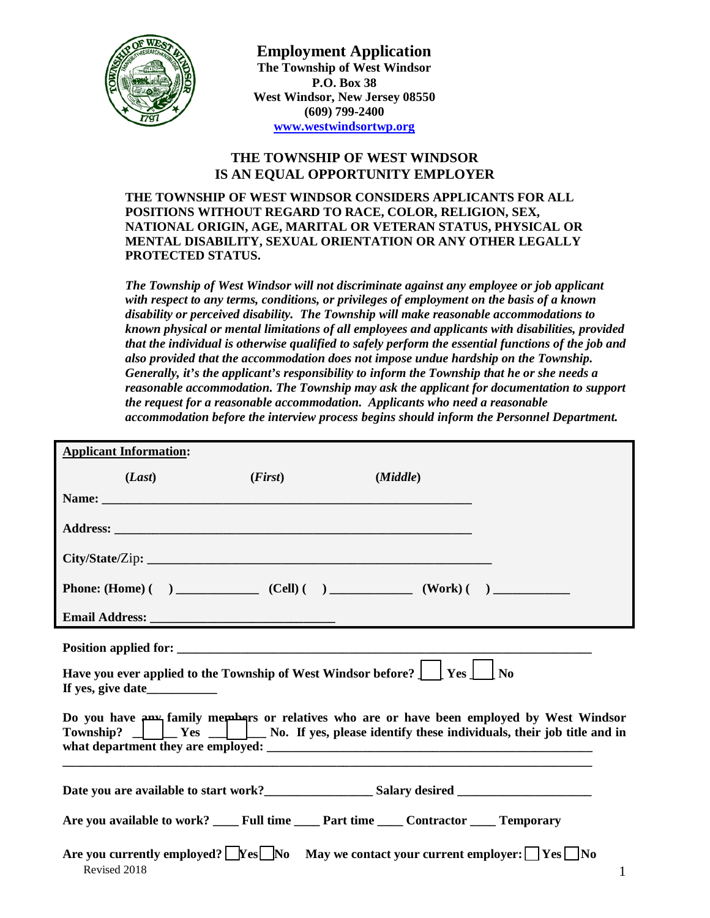

## **THE TOWNSHIP OF WEST WINDSOR IS AN EQUAL OPPORTUNITY EMPLOYER**

**THE TOWNSHIP OF WEST WINDSOR CONSIDERS APPLICANTS FOR ALL POSITIONS WITHOUT REGARD TO RACE, COLOR, RELIGION, SEX, NATIONAL ORIGIN, AGE, MARITAL OR VETERAN STATUS, PHYSICAL OR MENTAL DISABILITY, SEXUAL ORIENTATION OR ANY OTHER LEGALLY PROTECTED STATUS.**

*The Township of West Windsor will not discriminate against any employee or job applicant with respect to any terms, conditions, or privileges of employment on the basis of a known disability or perceived disability. The Township will make reasonable accommodations to known physical or mental limitations of all employees and applicants with disabilities, provided that the individual is otherwise qualified to safely perform the essential functions of the job and also provided that the accommodation does not impose undue hardship on the Township. Generally, it's the applicant's responsibility to inform the Township that he or she needs a reasonable accommodation. The Township may ask the applicant for documentation to support the request for a reasonable accommodation. Applicants who need a reasonable accommodation before the interview process begins should inform the Personnel Department.*

| <b>Applicant Information:</b> |         |                                                                                                                         |                                                                                                                                                                                                                      |
|-------------------------------|---------|-------------------------------------------------------------------------------------------------------------------------|----------------------------------------------------------------------------------------------------------------------------------------------------------------------------------------------------------------------|
| (Last)                        | (First) | (Middle)                                                                                                                |                                                                                                                                                                                                                      |
|                               |         |                                                                                                                         |                                                                                                                                                                                                                      |
|                               |         |                                                                                                                         |                                                                                                                                                                                                                      |
|                               |         | City/State/Zip:                                                                                                         |                                                                                                                                                                                                                      |
|                               |         |                                                                                                                         |                                                                                                                                                                                                                      |
|                               |         |                                                                                                                         |                                                                                                                                                                                                                      |
|                               |         |                                                                                                                         |                                                                                                                                                                                                                      |
| If yes, give date             |         | Have you ever applied to the Township of West Windsor before? $\int \int Y$ es $\int \int N$ o                          |                                                                                                                                                                                                                      |
|                               |         |                                                                                                                         | Do you have $\mu$ <sub>x</sub> family members or relatives who are or have been employed by West Windsor<br>Township? $\Box$ $\Box$ Yes $\Box$ No. If yes, please identify these individuals, their job title and in |
|                               |         |                                                                                                                         |                                                                                                                                                                                                                      |
|                               |         | Are you available to work? ____ Full time ____ Part time ____ Contractor ____ Temporary                                 |                                                                                                                                                                                                                      |
| Revised 2018                  |         | Are you currently employed? $\lfloor$ Yes $\lfloor$ No May we contact your current employer: $\lfloor$ Yes $\lfloor$ No | $\mathbf{1}$                                                                                                                                                                                                         |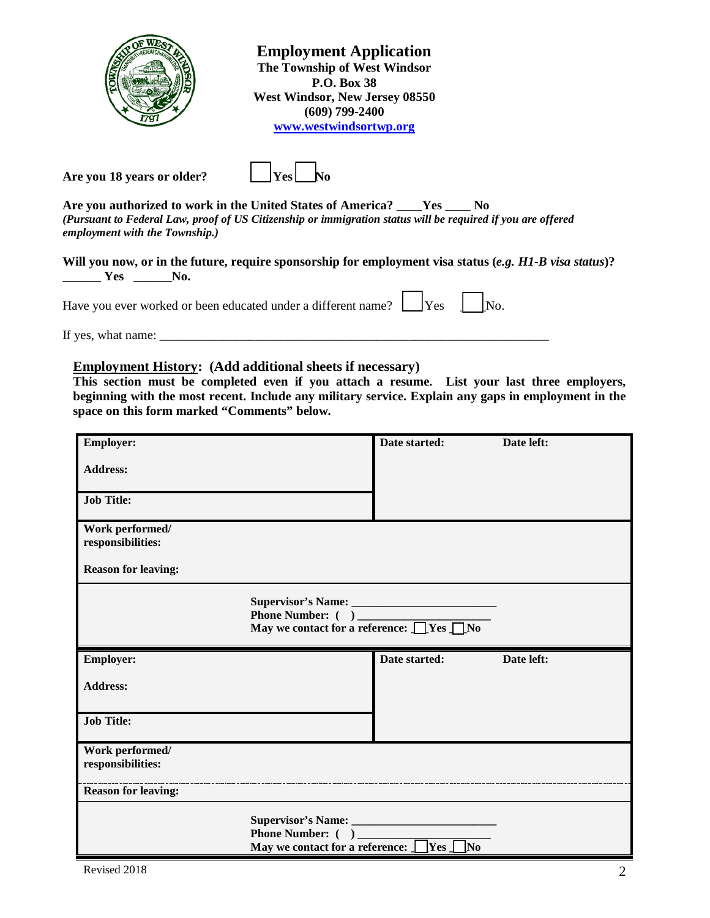|                                                                | <b>Employment Application</b><br>The Township of West Windsor<br><b>P.O. Box 38</b><br>West Windsor, New Jersey 08550<br>$(609)$ 799-2400<br>www.westwindsortwp.org |                |  |
|----------------------------------------------------------------|---------------------------------------------------------------------------------------------------------------------------------------------------------------------|----------------|--|
| Are you 18 years or older?                                     | <b>Yes</b>                                                                                                                                                          |                |  |
| Are you authorized to work in the United States of America? __ | <b>Yes</b>                                                                                                                                                          | N <sub>0</sub> |  |

*(Pursuant to Federal Law, proof of US Citizenship or immigration status will be required if you are offered employment with the Township.)*

Will you now, or in the future, require sponsorship for employment visa status (*e.g. H1-B visa status*)? **\_\_\_\_\_\_ Yes \_\_\_\_\_\_No.**

Have you ever worked or been educated under a different name?  $\Box$  Yes  $\Box$  No.

If yes, what name: \_\_\_\_\_\_\_\_\_\_\_\_\_\_\_\_\_\_\_\_\_\_\_\_\_\_\_\_\_\_\_\_\_\_\_\_\_\_\_\_\_\_\_\_\_\_\_\_\_\_\_\_\_\_\_\_\_\_\_\_\_

**Employment History: (Add additional sheets if necessary)**

**This section must be completed even if you attach a resume. List your last three employers, beginning with the most recent. Include any military service. Explain any gaps in employment in the space on this form marked "Comments" below.**

| <b>Employer:</b>                     |                                                                                            | Date started: | Date left: |
|--------------------------------------|--------------------------------------------------------------------------------------------|---------------|------------|
| <b>Address:</b>                      |                                                                                            |               |            |
| <b>Job Title:</b>                    |                                                                                            |               |            |
| Work performed/<br>responsibilities: |                                                                                            |               |            |
| <b>Reason for leaving:</b>           |                                                                                            |               |            |
|                                      | Supervisor's Name:<br>Phone Number: ( )<br>May we contact for a reference: <u>□Yes □No</u> |               |            |
| <b>Employer:</b>                     |                                                                                            | Date started: | Date left: |
| <b>Address:</b>                      |                                                                                            |               |            |
|                                      |                                                                                            |               |            |
| <b>Job Title:</b>                    |                                                                                            |               |            |
| Work performed/<br>responsibilities: |                                                                                            |               |            |
| <b>Reason for leaving:</b>           |                                                                                            |               |            |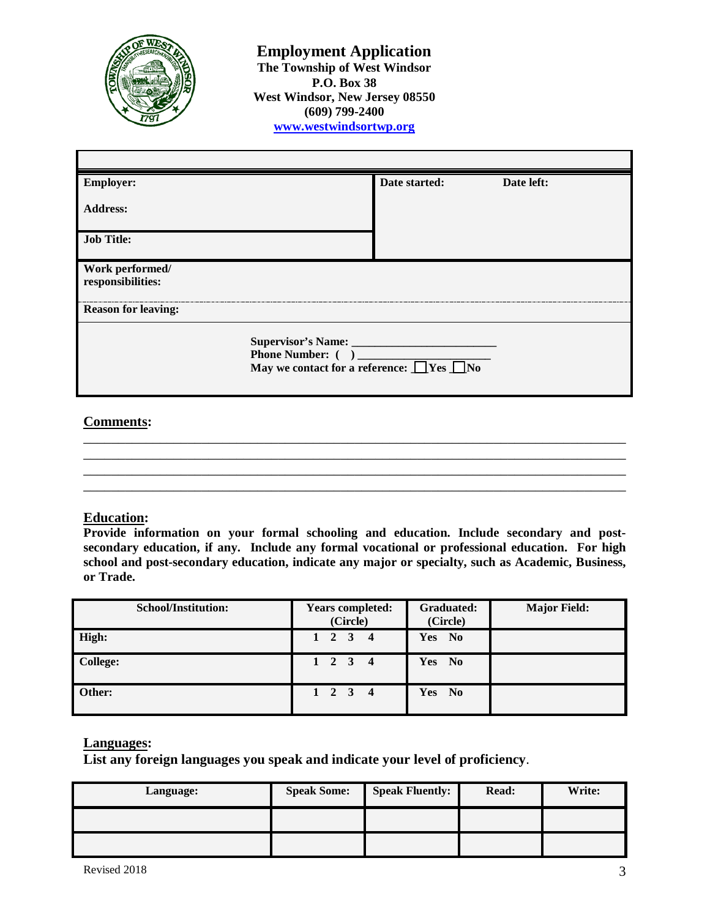

| <b>Employer:</b>                     | Date started:                                        | Date left: |
|--------------------------------------|------------------------------------------------------|------------|
| <b>Address:</b>                      |                                                      |            |
| <b>Job Title:</b>                    |                                                      |            |
| Work performed/<br>responsibilities: |                                                      |            |
| <b>Reason for leaving:</b>           |                                                      |            |
| Phone Number: ()                     | May we contact for a reference: $\Box$ Yes $\Box$ No |            |

## **Comments:**

\_\_\_\_\_\_\_\_\_\_\_\_\_\_\_\_\_\_\_\_\_\_\_\_\_\_\_\_\_\_\_\_\_\_\_\_\_\_\_\_\_\_\_\_\_\_\_\_\_\_\_\_\_\_\_\_\_\_\_\_\_\_\_\_\_\_\_\_\_\_\_\_\_\_\_\_\_\_ \_\_\_\_\_\_\_\_\_\_\_\_\_\_\_\_\_\_\_\_\_\_\_\_\_\_\_\_\_\_\_\_\_\_\_\_\_\_\_\_\_\_\_\_\_\_\_\_\_\_\_\_\_\_\_\_\_\_\_\_\_\_\_\_\_\_\_\_\_\_\_\_\_\_\_\_\_\_ \_\_\_\_\_\_\_\_\_\_\_\_\_\_\_\_\_\_\_\_\_\_\_\_\_\_\_\_\_\_\_\_\_\_\_\_\_\_\_\_\_\_\_\_\_\_\_\_\_\_\_\_\_\_\_\_\_\_\_\_\_\_\_\_\_\_\_\_\_\_\_\_\_\_\_\_\_\_ \_\_\_\_\_\_\_\_\_\_\_\_\_\_\_\_\_\_\_\_\_\_\_\_\_\_\_\_\_\_\_\_\_\_\_\_\_\_\_\_\_\_\_\_\_\_\_\_\_\_\_\_\_\_\_\_\_\_\_\_\_\_\_\_\_\_\_\_\_\_\_\_\_\_\_\_\_\_

### **Education:**

**Provide information on your formal schooling and education. Include secondary and postsecondary education, if any. Include any formal vocational or professional education. For high school and post-secondary education, indicate any major or specialty, such as Academic, Business, or Trade.**

| <b>School/Institution:</b> | <b>Years completed:</b><br>(Circle) | <b>Graduated:</b><br>(Circle) | <b>Major Field:</b> |
|----------------------------|-------------------------------------|-------------------------------|---------------------|
| High:                      | $1\quad 2\quad 3$                   | <b>Yes</b><br>N <sub>0</sub>  |                     |
| <b>College:</b>            | $1 \quad 2 \quad 3 \quad 4$         | Yes<br>$\mathbf{N}\mathbf{o}$ |                     |
| Other:                     | $1 \quad 2 \quad 3 \quad 4$         | <b>Yes</b><br>N <sub>0</sub>  |                     |

# **Languages:**

**List any foreign languages you speak and indicate your level of proficiency**.

| Language: | <b>Speak Some:</b> | <b>Speak Fluently:</b> | <b>Read:</b> | Write: |
|-----------|--------------------|------------------------|--------------|--------|
|           |                    |                        |              |        |
|           |                    |                        |              |        |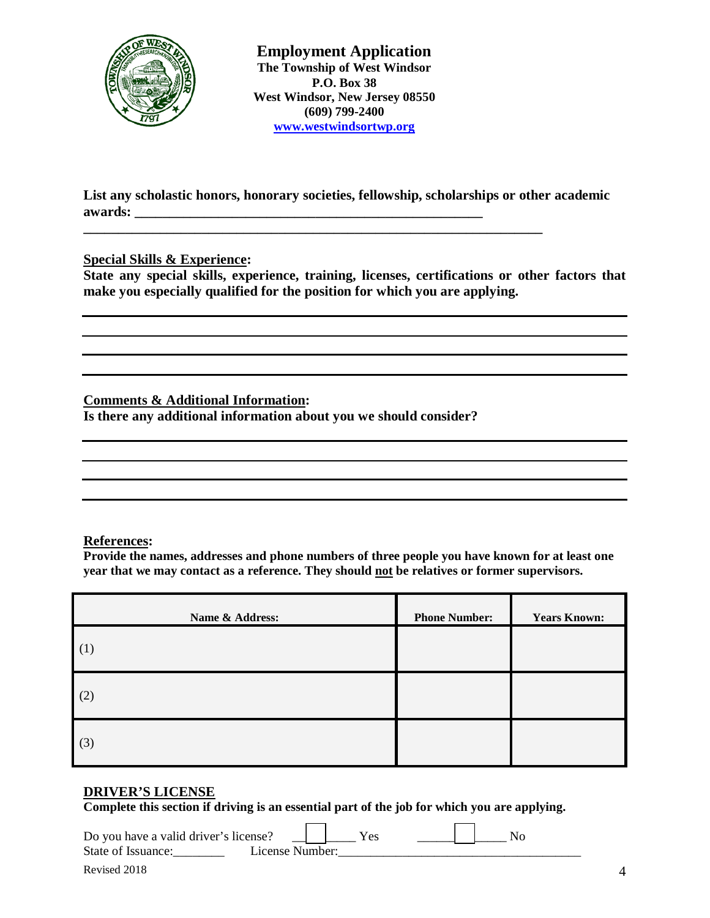

**List any scholastic honors, honorary societies, fellowship, scholarships or other academic awards: \_\_\_\_\_\_\_\_\_\_\_\_\_\_\_\_\_\_\_\_\_\_\_\_\_\_\_\_\_\_\_\_\_\_\_\_\_\_\_\_\_\_\_\_\_\_\_\_\_\_**

**\_\_\_\_\_\_\_\_\_\_\_\_\_\_\_\_\_\_\_\_\_\_\_\_\_\_\_\_\_\_\_\_\_\_\_\_\_\_\_\_\_\_\_\_\_\_\_\_\_\_\_\_\_\_\_\_\_\_\_\_\_\_\_\_\_\_**

#### **Special Skills & Experience:**

**State any special skills, experience, training, licenses, certifications or other factors that make you especially qualified for the position for which you are applying.**

**Comments & Additional Information:** 

**Is there any additional information about you we should consider?** 

#### **References:**

**Provide the names, addresses and phone numbers of three people you have known for at least one year that we may contact as a reference. They should not be relatives or former supervisors.**

| Name & Address: | <b>Phone Number:</b> | <b>Years Known:</b> |
|-----------------|----------------------|---------------------|
| (1)             |                      |                     |
| (2)             |                      |                     |
| (3)             |                      |                     |

#### **DRIVER'S LICENSE**

**Complete this section if driving is an essential part of the job for which you are applying.**

 $\overline{\phantom{0}}$ 

 $\overline{\phantom{0}}$ 

| Do you have a valid driver's license? |                 |  |
|---------------------------------------|-----------------|--|
| State of Issuance:                    | License Number: |  |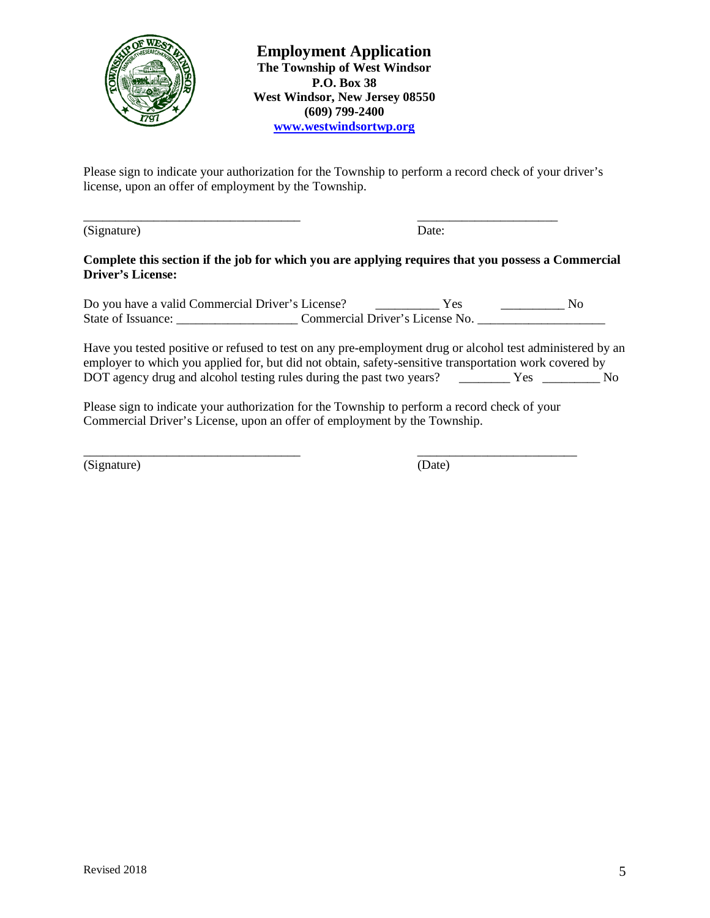

Please sign to indicate your authorization for the Township to perform a record check of your driver's license, upon an offer of employment by the Township.

\_\_\_\_\_\_\_\_\_\_\_\_\_\_\_\_\_\_\_\_\_\_\_\_\_\_\_\_\_\_\_\_\_\_ \_\_\_\_\_\_\_\_\_\_\_\_\_\_\_\_\_\_\_\_\_\_

(Signature) Date:

#### **Complete this section if the job for which you are applying requires that you possess a Commercial Driver's License:**

Do you have a valid Commercial Driver's License? \_\_\_\_\_\_\_\_\_\_\_\_\_\_\_ Yes \_\_\_\_\_\_\_\_\_\_\_\_\_ No State of Issuance: \_\_\_\_\_\_\_\_\_\_\_\_\_\_\_\_\_\_\_\_\_\_\_\_\_\_\_\_Commercial Driver's License No. \_\_\_\_\_\_\_\_\_\_\_\_\_\_\_\_\_\_\_\_\_\_\_\_\_\_\_\_\_\_\_

Have you tested positive or refused to test on any pre-employment drug or alcohol test administered by an employer to which you applied for, but did not obtain, safety-sensitive transportation work covered by DOT agency drug and alcohol testing rules during the past two years? \_\_\_\_\_\_\_\_\_ Yes \_\_\_\_\_\_\_\_ No

Please sign to indicate your authorization for the Township to perform a record check of your Commercial Driver's License, upon an offer of employment by the Township.

\_\_\_\_\_\_\_\_\_\_\_\_\_\_\_\_\_\_\_\_\_\_\_\_\_\_\_\_\_\_\_\_\_\_ \_\_\_\_\_\_\_\_\_\_\_\_\_\_\_\_\_\_\_\_\_\_\_\_\_ (Signature) (Date)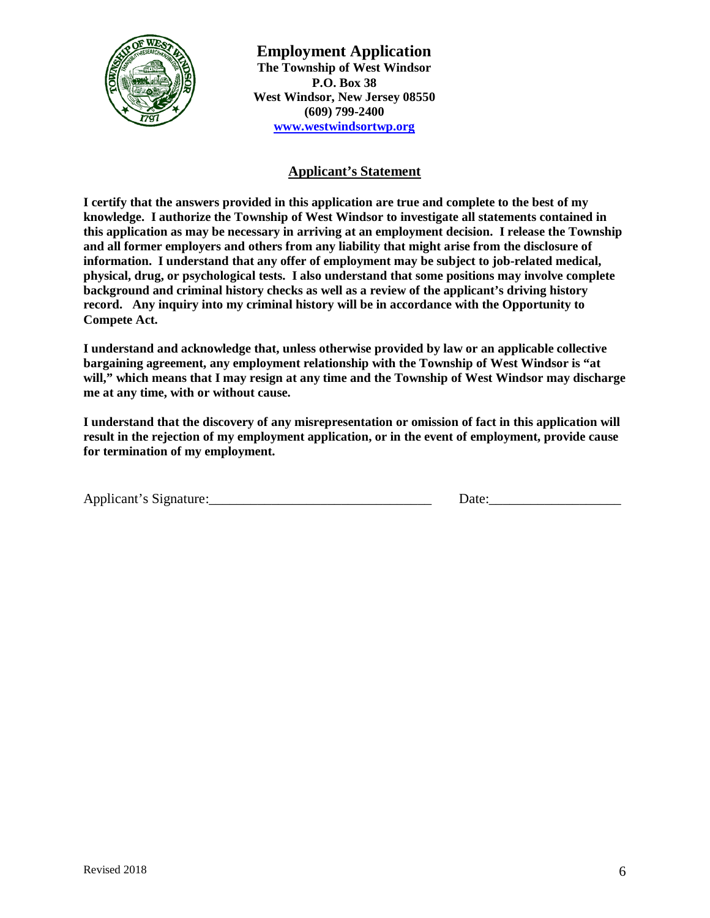

# **Applicant's Statement**

**I certify that the answers provided in this application are true and complete to the best of my knowledge. I authorize the Township of West Windsor to investigate all statements contained in this application as may be necessary in arriving at an employment decision. I release the Township and all former employers and others from any liability that might arise from the disclosure of information. I understand that any offer of employment may be subject to job-related medical, physical, drug, or psychological tests. I also understand that some positions may involve complete background and criminal history checks as well as a review of the applicant's driving history record. Any inquiry into my criminal history will be in accordance with the Opportunity to Compete Act.**

**I understand and acknowledge that, unless otherwise provided by law or an applicable collective bargaining agreement, any employment relationship with the Township of West Windsor is "at will," which means that I may resign at any time and the Township of West Windsor may discharge me at any time, with or without cause.**

**I understand that the discovery of any misrepresentation or omission of fact in this application will result in the rejection of my employment application, or in the event of employment, provide cause for termination of my employment.** 

| Applicant's Signature: | Jate |
|------------------------|------|
|                        |      |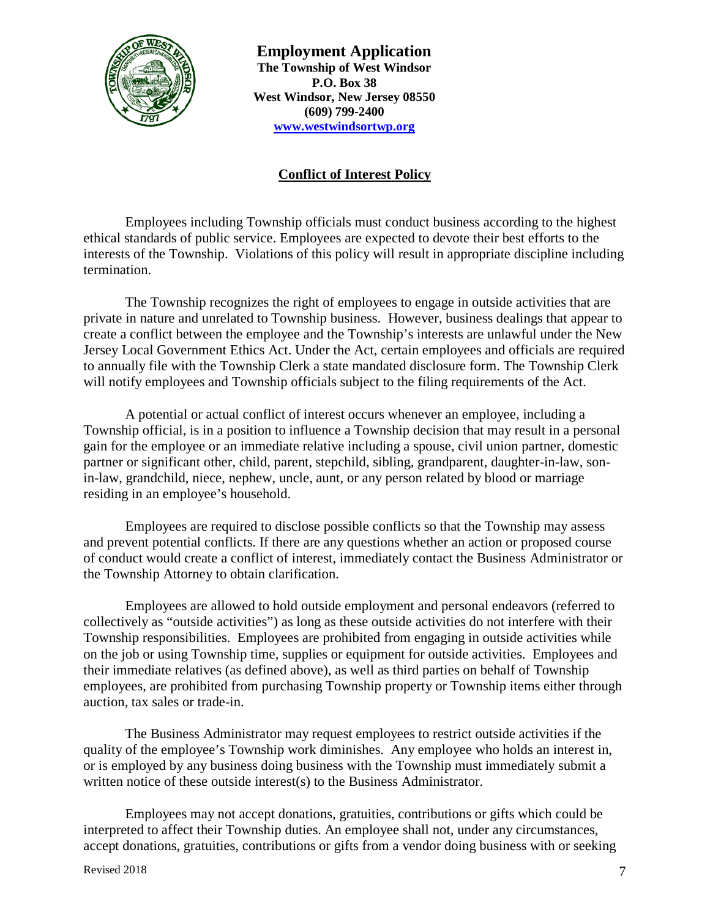

# **Conflict of Interest Policy**

Employees including Township officials must conduct business according to the highest ethical standards of public service. Employees are expected to devote their best efforts to the interests of the Township. Violations of this policy will result in appropriate discipline including termination.

The Township recognizes the right of employees to engage in outside activities that are private in nature and unrelated to Township business. However, business dealings that appear to create a conflict between the employee and the Township's interests are unlawful under the New Jersey Local Government Ethics Act. Under the Act, certain employees and officials are required to annually file with the Township Clerk a state mandated disclosure form. The Township Clerk will notify employees and Township officials subject to the filing requirements of the Act.

A potential or actual conflict of interest occurs whenever an employee, including a Township official, is in a position to influence a Township decision that may result in a personal gain for the employee or an immediate relative including a spouse, civil union partner, domestic partner or significant other, child, parent, stepchild, sibling, grandparent, daughter-in-law, sonin-law, grandchild, niece, nephew, uncle, aunt, or any person related by blood or marriage residing in an employee's household.

Employees are required to disclose possible conflicts so that the Township may assess and prevent potential conflicts. If there are any questions whether an action or proposed course of conduct would create a conflict of interest, immediately contact the Business Administrator or the Township Attorney to obtain clarification.

Employees are allowed to hold outside employment and personal endeavors (referred to collectively as "outside activities") as long as these outside activities do not interfere with their Township responsibilities. Employees are prohibited from engaging in outside activities while on the job or using Township time, supplies or equipment for outside activities. Employees and their immediate relatives (as defined above), as well as third parties on behalf of Township employees, are prohibited from purchasing Township property or Township items either through auction, tax sales or trade-in.

The Business Administrator may request employees to restrict outside activities if the quality of the employee's Township work diminishes. Any employee who holds an interest in, or is employed by any business doing business with the Township must immediately submit a written notice of these outside interest(s) to the Business Administrator.

Employees may not accept donations, gratuities, contributions or gifts which could be interpreted to affect their Township duties. An employee shall not, under any circumstances, accept donations, gratuities, contributions or gifts from a vendor doing business with or seeking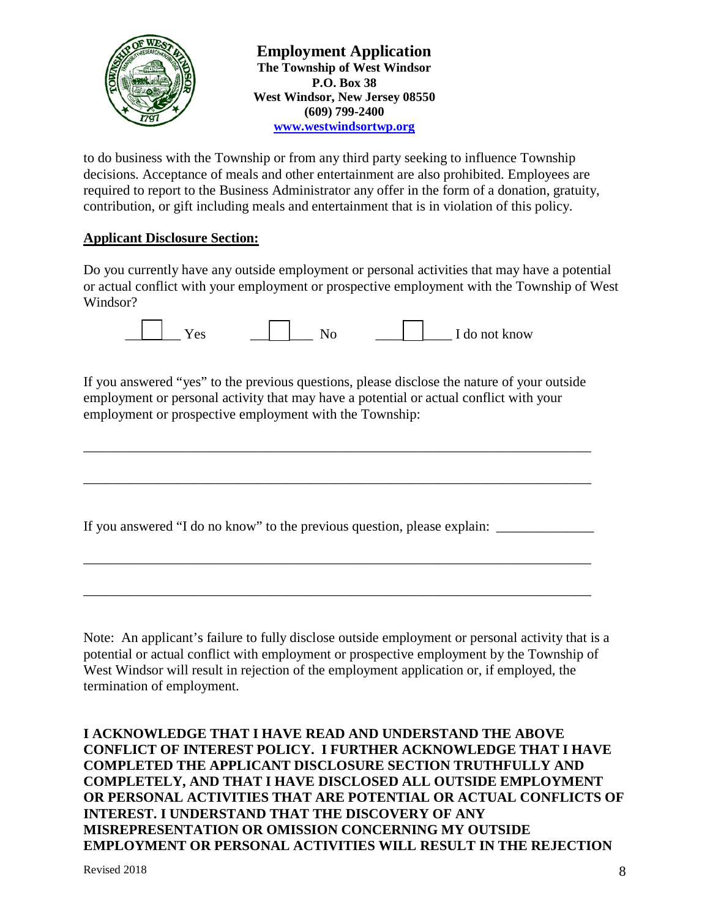

to do business with the Township or from any third party seeking to influence Township decisions. Acceptance of meals and other entertainment are also prohibited. Employees are required to report to the Business Administrator any offer in the form of a donation, gratuity, contribution, or gift including meals and entertainment that is in violation of this policy.

## **Applicant Disclosure Section:**

Do you currently have any outside employment or personal activities that may have a potential or actual conflict with your employment or prospective employment with the Township of West Windsor?

| $\Delta$ r |  | ∟do not know |
|------------|--|--------------|
|------------|--|--------------|

If you answered "yes" to the previous questions, please disclose the nature of your outside employment or personal activity that may have a potential or actual conflict with your employment or prospective employment with the Township:

\_\_\_\_\_\_\_\_\_\_\_\_\_\_\_\_\_\_\_\_\_\_\_\_\_\_\_\_\_\_\_\_\_\_\_\_\_\_\_\_\_\_\_\_\_\_\_\_\_\_\_\_\_\_\_\_\_\_\_\_\_\_\_\_\_\_\_\_\_\_\_\_\_

\_\_\_\_\_\_\_\_\_\_\_\_\_\_\_\_\_\_\_\_\_\_\_\_\_\_\_\_\_\_\_\_\_\_\_\_\_\_\_\_\_\_\_\_\_\_\_\_\_\_\_\_\_\_\_\_\_\_\_\_\_\_\_\_\_\_\_\_\_\_\_\_\_

\_\_\_\_\_\_\_\_\_\_\_\_\_\_\_\_\_\_\_\_\_\_\_\_\_\_\_\_\_\_\_\_\_\_\_\_\_\_\_\_\_\_\_\_\_\_\_\_\_\_\_\_\_\_\_\_\_\_\_\_\_\_\_\_\_\_\_\_\_\_\_\_\_

\_\_\_\_\_\_\_\_\_\_\_\_\_\_\_\_\_\_\_\_\_\_\_\_\_\_\_\_\_\_\_\_\_\_\_\_\_\_\_\_\_\_\_\_\_\_\_\_\_\_\_\_\_\_\_\_\_\_\_\_\_\_\_\_\_\_\_\_\_\_\_\_\_

If you answered "I do no know" to the previous question, please explain:

Note: An applicant's failure to fully disclose outside employment or personal activity that is a potential or actual conflict with employment or prospective employment by the Township of West Windsor will result in rejection of the employment application or, if employed, the termination of employment.

**I ACKNOWLEDGE THAT I HAVE READ AND UNDERSTAND THE ABOVE CONFLICT OF INTEREST POLICY. I FURTHER ACKNOWLEDGE THAT I HAVE COMPLETED THE APPLICANT DISCLOSURE SECTION TRUTHFULLY AND COMPLETELY, AND THAT I HAVE DISCLOSED ALL OUTSIDE EMPLOYMENT OR PERSONAL ACTIVITIES THAT ARE POTENTIAL OR ACTUAL CONFLICTS OF INTEREST. I UNDERSTAND THAT THE DISCOVERY OF ANY MISREPRESENTATION OR OMISSION CONCERNING MY OUTSIDE EMPLOYMENT OR PERSONAL ACTIVITIES WILL RESULT IN THE REJECTION**